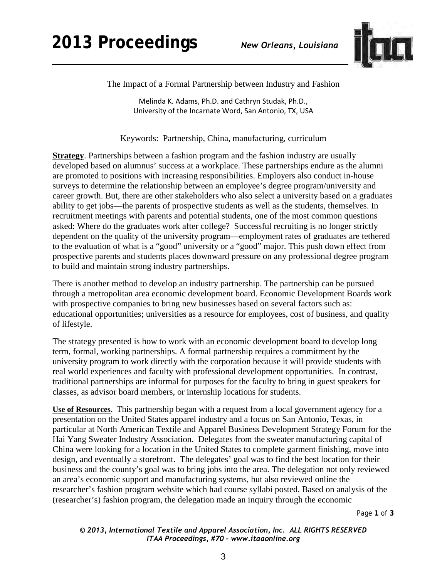

The Impact of a Formal Partnership between Industry and Fashion

Melinda K. Adams, Ph.D. and Cathryn Studak, Ph.D., University of the Incarnate Word, San Antonio, TX, USA

Keywords: Partnership, China, manufacturing, curriculum

**Strategy**. Partnerships between a fashion program and the fashion industry are usually developed based on alumnus' success at a workplace. These partnerships endure as the alumni are promoted to positions with increasing responsibilities. Employers also conduct in-house surveys to determine the relationship between an employee's degree program/university and career growth. But, there are other stakeholders who also select a university based on a graduates ability to get jobs—the parents of prospective students as well as the students, themselves. In recruitment meetings with parents and potential students, one of the most common questions asked: Where do the graduates work after college? Successful recruiting is no longer strictly dependent on the quality of the university program—employment rates of graduates are tethered to the evaluation of what is a "good" university or a "good" major. This push down effect from prospective parents and students places downward pressure on any professional degree program to build and maintain strong industry partnerships.

There is another method to develop an industry partnership. The partnership can be pursued through a metropolitan area economic development board. Economic Development Boards work with prospective companies to bring new businesses based on several factors such as: educational opportunities; universities as a resource for employees, cost of business, and quality of lifestyle.

The strategy presented is how to work with an economic development board to develop long term, formal, working partnerships. A formal partnership requires a commitment by the university program to work directly with the corporation because it will provide students with real world experiences and faculty with professional development opportunities. In contrast, traditional partnerships are informal for purposes for the faculty to bring in guest speakers for classes, as advisor board members, or internship locations for students.

**Use of Resources.** This partnership began with a request from a local government agency for a presentation on the United States apparel industry and a focus on San Antonio, Texas, in particular at North American Textile and Apparel Business Development Strategy Forum for the Hai Yang Sweater Industry Association. Delegates from the sweater manufacturing capital of China were looking for a location in the United States to complete garment finishing, move into design, and eventually a storefront. The delegates' goal was to find the best location for their business and the county's goal was to bring jobs into the area. The delegation not only reviewed an area's economic support and manufacturing systems, but also reviewed online the researcher's fashion program website which had course syllabi posted. Based on analysis of the (researcher's) fashion program, the delegation made an inquiry through the economic

Page **1** of **3** 

*© 2013, International Textile and Apparel Association, Inc. ALL RIGHTS RESERVED ITAA Proceedings, #70 – www.itaaonline.org*